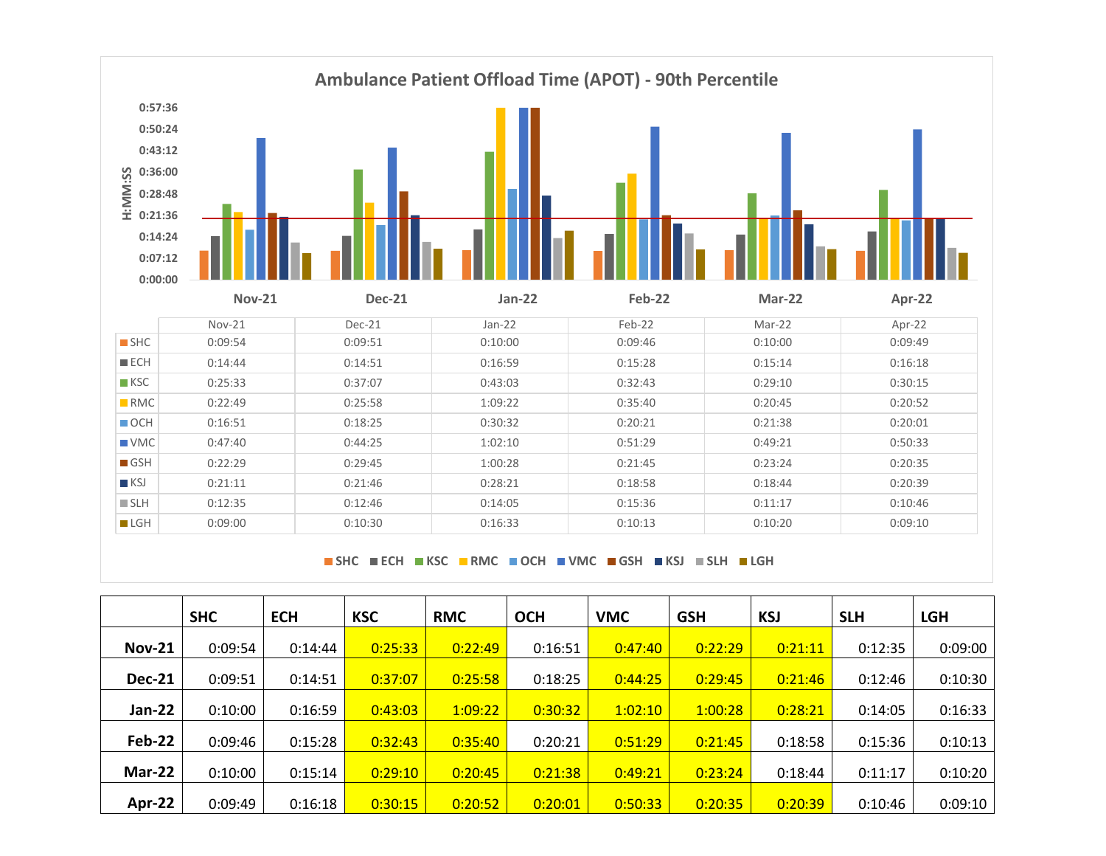

**SHC ECH KSC RMC OCH VMC GSH KSJ SLH LGH**

|               | <b>SHC</b> | <b>ECH</b> | <b>KSC</b> | <b>RMC</b> | <b>OCH</b> | <b>VMC</b> | <b>GSH</b> | <b>KSJ</b> | <b>SLH</b> | <b>LGH</b> |
|---------------|------------|------------|------------|------------|------------|------------|------------|------------|------------|------------|
| <b>Nov-21</b> | 0:09:54    | 0:14:44    | 0:25:33    | 0:22:49    | 0:16:51    | 0:47:40    | 0:22:29    | 0:21:11    | 0:12:35    | 0:09:00    |
| <b>Dec-21</b> | 0:09:51    | 0:14:51    | 0:37:07    | 0:25:58    | 0:18:25    | 0:44:25    | 0:29:45    | 0:21:46    | 0:12:46    | 0:10:30    |
| Jan-22        | 0:10:00    | 0:16:59    | 0:43:03    | 1:09:22    | 0:30:32    | 1:02:10    | 1:00:28    | 0:28:21    | 0:14:05    | 0:16:33    |
| Feb-22        | 0:09:46    | 0:15:28    | 0:32:43    | 0:35:40    | 0:20:21    | 0:51:29    | 0:21:45    | 0:18:58    | 0:15:36    | 0:10:13    |
| Mar-22        | 0:10:00    | 0:15:14    | 0:29:10    | 0:20:45    | 0:21:38    | 0:49:21    | 0:23:24    | 0:18:44    | 0:11:17    | 0:10:20    |
| Apr-22        | 0:09:49    | 0:16:18    | 0:30:15    | 0:20:52    | 0:20:01    | 0:50:33    | 0:20:35    | 0:20:39    | 0:10:46    | 0:09:10    |